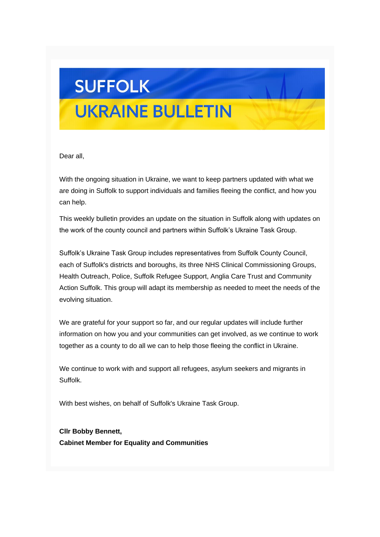## **SUFFOLK UKRAINE BULLETIN**

### Dear all,

With the ongoing situation in Ukraine, we want to keep partners updated with what we are doing in Suffolk to support individuals and families fleeing the conflict, and how you can help.

This weekly bulletin provides an update on the situation in Suffolk along with updates on the work of the county council and partners within Suffolk's Ukraine Task Group.

Suffolk's Ukraine Task Group includes representatives from Suffolk County Council, each of Suffolk's districts and boroughs, its three NHS Clinical Commissioning Groups, Health Outreach, Police, Suffolk Refugee Support, Anglia Care Trust and Community Action Suffolk. This group will adapt its membership as needed to meet the needs of the evolving situation.

We are grateful for your support so far, and our regular updates will include further information on how you and your communities can get involved, as we continue to work together as a county to do all we can to help those fleeing the conflict in Ukraine.

We continue to work with and support all refugees, asylum seekers and migrants in Suffolk.

With best wishes, on behalf of Suffolk's Ukraine Task Group.

**Cllr Bobby Bennett, Cabinet Member for Equality and Communities**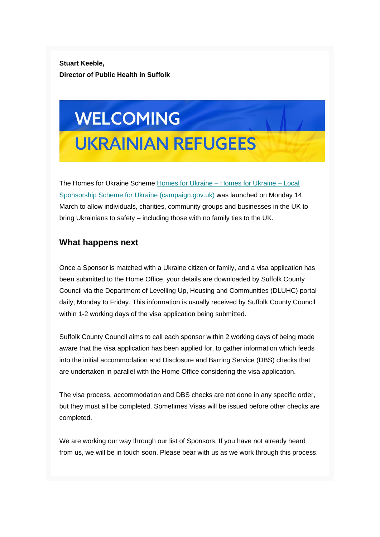**Stuart Keeble, Director of Public Health in Suffolk**

# **WELCOMING UKRAINIAN REFUGEES**

The Homes for Ukraine Scheme [Homes for Ukraine –](https://suffolk.us15.list-manage.com/track/click?u=6a4b611d774833befc266f91b&id=b98ba1dd71&e=6f11f42378) Homes for Ukraine – Local [Sponsorship Scheme for Ukraine \(campaign.gov.uk\)](https://suffolk.us15.list-manage.com/track/click?u=6a4b611d774833befc266f91b&id=b98ba1dd71&e=6f11f42378) was launched on Monday 14 March to allow individuals, charities, community groups and businesses in the UK to bring Ukrainians to safety – including those with no family ties to the UK.

#### **What happens next**

Once a Sponsor is matched with a Ukraine citizen or family, and a visa application has been submitted to the Home Office, your details are downloaded by Suffolk County Council via the Department of Levelling Up, Housing and Communities (DLUHC) portal daily, Monday to Friday. This information is usually received by Suffolk County Council within 1-2 working days of the visa application being submitted.

Suffolk County Council aims to call each sponsor within 2 working days of being made aware that the visa application has been applied for, to gather information which feeds into the initial accommodation and Disclosure and Barring Service (DBS) checks that are undertaken in parallel with the Home Office considering the visa application.

The visa process, accommodation and DBS checks are not done in any specific order, but they must all be completed. Sometimes Visas will be issued before other checks are completed.

We are working our way through our list of Sponsors. If you have not already heard from us, we will be in touch soon. Please bear with us as we work through this process.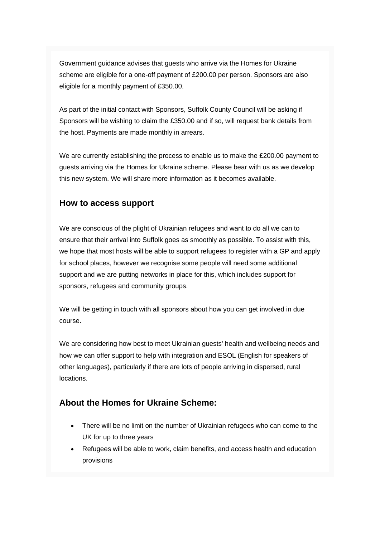Government guidance advises that guests who arrive via the Homes for Ukraine scheme are eligible for a one-off payment of £200.00 per person. Sponsors are also eligible for a monthly payment of £350.00.

As part of the initial contact with Sponsors, Suffolk County Council will be asking if Sponsors will be wishing to claim the £350.00 and if so, will request bank details from the host. Payments are made monthly in arrears.

We are currently establishing the process to enable us to make the £200.00 payment to guests arriving via the Homes for Ukraine scheme. Please bear with us as we develop this new system. We will share more information as it becomes available.

#### **How to access support**

We are conscious of the plight of Ukrainian refugees and want to do all we can to ensure that their arrival into Suffolk goes as smoothly as possible. To assist with this, we hope that most hosts will be able to support refugees to register with a GP and apply for school places, however we recognise some people will need some additional support and we are putting networks in place for this, which includes support for sponsors, refugees and community groups.

We will be getting in touch with all sponsors about how you can get involved in due course.

We are considering how best to meet Ukrainian guests' health and wellbeing needs and how we can offer support to help with integration and ESOL (English for speakers of other languages), particularly if there are lots of people arriving in dispersed, rural locations.

#### **About the Homes for Ukraine Scheme:**

- There will be no limit on the number of Ukrainian refugees who can come to the UK for up to three years
- Refugees will be able to work, claim benefits, and access health and education provisions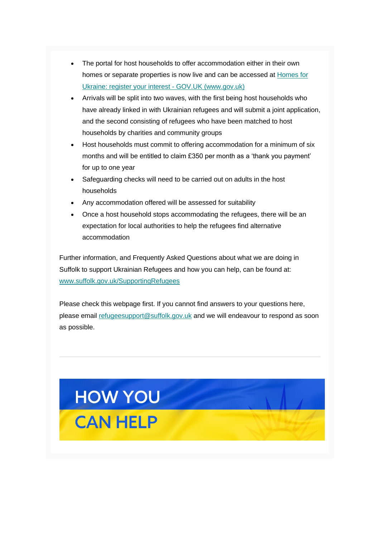- The portal for host households to offer accommodation either in their own homes or separate properties is now live and can be accessed at [Homes for](https://suffolk.us15.list-manage.com/track/click?u=6a4b611d774833befc266f91b&id=d3f485e0f5&e=6f11f42378)  [Ukraine: register your interest -](https://suffolk.us15.list-manage.com/track/click?u=6a4b611d774833befc266f91b&id=d3f485e0f5&e=6f11f42378) GOV.UK (www.gov.uk)
- Arrivals will be split into two waves, with the first being host households who have already linked in with Ukrainian refugees and will submit a joint application, and the second consisting of refugees who have been matched to host households by charities and community groups
- Host households must commit to offering accommodation for a minimum of six months and will be entitled to claim £350 per month as a 'thank you payment' for up to one year
- Safeguarding checks will need to be carried out on adults in the host households
- Any accommodation offered will be assessed for suitability
- Once a host household stops accommodating the refugees, there will be an expectation for local authorities to help the refugees find alternative accommodation

Further information, and Frequently Asked Questions about what we are doing in Suffolk to support Ukrainian Refugees and how you can help, can be found at: [www.suffolk.gov.uk/SupportingRefugees](https://suffolk.us15.list-manage.com/track/click?u=6a4b611d774833befc266f91b&id=28707f75b9&e=6f11f42378)

Please check this webpage first. If you cannot find answers to your questions here, please email [refugeesupport@suffolk.gov.uk](mailto:refugeesupport@suffolk.gov.uk) and we will endeavour to respond as soon as possible.

# HOW YOU **CAN HELP**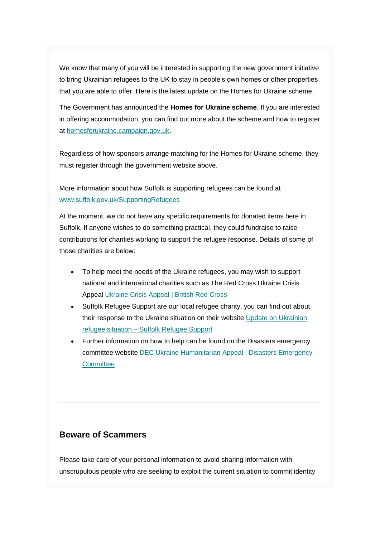We know that many of you will be interested in supporting the new government initiative to bring Ukrainian refugees to the UK to stay in people's own homes or other properties that you are able to offer. Here is the latest update on the Homes for Ukraine scheme.

The Government has announced the **Homes for Ukraine scheme**. If you are interested in offering accommodation, you can find out more about the scheme and how to register at [homesforukraine.campaign.gov.uk.](https://suffolk.us15.list-manage.com/track/click?u=6a4b611d774833befc266f91b&id=d08332dd30&e=6f11f42378)

Regardless of how sponsors arrange matching for the Homes for Ukraine scheme, they must register through the government website above.

More information about how Suffolk is supporting refugees can be found at [www.suffolk.gov.uk/SupportingRefugees](https://suffolk.us15.list-manage.com/track/click?u=6a4b611d774833befc266f91b&id=1a408db8f6&e=6f11f42378)

At the moment, we do not have any specific requirements for donated items here in Suffolk. If anyone wishes to do something practical, they could fundraise to raise contributions for charities working to support the refugee response. Details of some of those charities are below:

- To help meet the needs of the Ukraine refugees, you may wish to support national and international charities such as The Red Cross Ukraine Crisis Appeal [Ukraine Crisis Appeal | British Red Cross](https://suffolk.us15.list-manage.com/track/click?u=6a4b611d774833befc266f91b&id=01e9ab2f90&e=6f11f42378)
- Suffolk Refugee Support are our local refugee charity, you can find out about their response to the Ukraine situation on their website [Update on Ukrainian](https://suffolk.us15.list-manage.com/track/click?u=6a4b611d774833befc266f91b&id=b7742ca71a&e=6f11f42378)  refugee situation – [Suffolk Refugee Support](https://suffolk.us15.list-manage.com/track/click?u=6a4b611d774833befc266f91b&id=b7742ca71a&e=6f11f42378)
- Further information on how to help can be found on the Disasters emergency committee website [DEC Ukraine Humanitarian Appeal | Disasters Emergency](https://suffolk.us15.list-manage.com/track/click?u=6a4b611d774833befc266f91b&id=95c5340dde&e=6f11f42378)  **[Committee](https://suffolk.us15.list-manage.com/track/click?u=6a4b611d774833befc266f91b&id=95c5340dde&e=6f11f42378)**

#### **Beware of Scammers**

Please take care of your personal information to avoid sharing information with unscrupulous people who are seeking to exploit the current situation to commit identity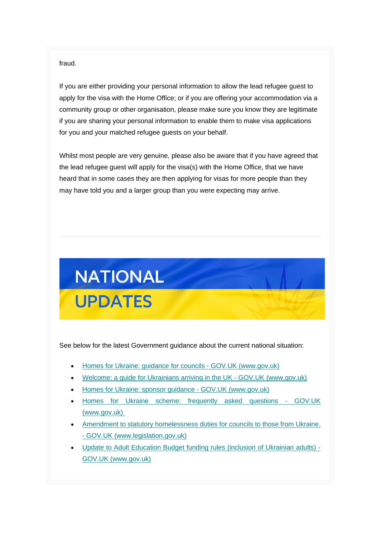fraud.

If you are either providing your personal information to allow the lead refugee guest to apply for the visa with the Home Office; or if you are offering your accommodation via a community group or other organisation, please make sure you know they are legitimate if you are sharing your personal information to enable them to make visa applications for you and your matched refugee guests on your behalf.

Whilst most people are very genuine, please also be aware that if you have agreed that the lead refugee guest will apply for the visa(s) with the Home Office, that we have heard that in some cases they are then applying for visas for more people than they may have told you and a larger group than you were expecting may arrive.



See below for the latest Government guidance about the current national situation:

- [Homes for Ukraine: guidance for councils -](https://suffolk.us15.list-manage.com/track/click?u=6a4b611d774833befc266f91b&id=6496ae5e8a&e=6f11f42378) GOV.UK (www.gov.uk)
- [Welcome: a guide for Ukrainians arriving in the UK -](https://suffolk.us15.list-manage.com/track/click?u=6a4b611d774833befc266f91b&id=09ce2e03d9&e=6f11f42378) GOV.UK (www.gov.uk)
- [Homes for Ukraine: sponsor guidance -](https://suffolk.us15.list-manage.com/track/click?u=6a4b611d774833befc266f91b&id=31f6137a4e&e=6f11f42378) GOV.UK (www.gov.uk)
- [Homes for Ukraine scheme: frequently asked questions -](https://suffolk.us15.list-manage.com/track/click?u=6a4b611d774833befc266f91b&id=c7b59e8674&e=6f11f42378) GOV.UK [\(www.gov.uk\)](https://suffolk.us15.list-manage.com/track/click?u=6a4b611d774833befc266f91b&id=c7b59e8674&e=6f11f42378)
- [Amendment to statutory homelessness duties for](https://suffolk.us15.list-manage.com/track/click?u=6a4b611d774833befc266f91b&id=fb2d812a80&e=6f11f42378) councils to those from Ukraine. - [GOV.UK \(www.legislation.gov.uk\)](https://suffolk.us15.list-manage.com/track/click?u=6a4b611d774833befc266f91b&id=fb2d812a80&e=6f11f42378)
- [Update to Adult Education Budget funding rules \(inclusion](https://suffolk.us15.list-manage.com/track/click?u=6a4b611d774833befc266f91b&id=27fe4e987e&e=6f11f42378) of Ukrainian adults) [GOV.UK \(www.gov.uk\)](https://suffolk.us15.list-manage.com/track/click?u=6a4b611d774833befc266f91b&id=27fe4e987e&e=6f11f42378)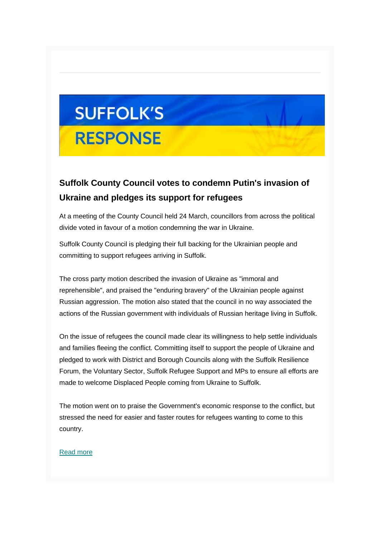# **SUFFOLK'S RESPONSE**

## **Suffolk County Council votes to condemn Putin's invasion of Ukraine and pledges its support for refugees**

At a meeting of the County Council held 24 March, councillors from across the political divide voted in favour of a motion condemning the war in Ukraine.

Suffolk County Council is pledging their full backing for the Ukrainian people and committing to support refugees arriving in Suffolk.

The cross party motion described the invasion of Ukraine as "immoral and reprehensible", and praised the "enduring bravery" of the Ukrainian people against Russian aggression. The motion also stated that the council in no way associated the actions of the Russian government with individuals of Russian heritage living in Suffolk.

On the issue of refugees the council made clear its willingness to help settle individuals and families fleeing the conflict. Committing itself to support the people of Ukraine and pledged to work with District and Borough Councils along with the Suffolk Resilience Forum, the Voluntary Sector, Suffolk Refugee Support and MPs to ensure all efforts are made to welcome Displaced People coming from Ukraine to Suffolk.

The motion went on to praise the Government's economic response to the conflict, but stressed the need for easier and faster routes for refugees wanting to come to this country.

#### [Read more](https://suffolk.us15.list-manage.com/track/click?u=6a4b611d774833befc266f91b&id=489615d5f8&e=6f11f42378)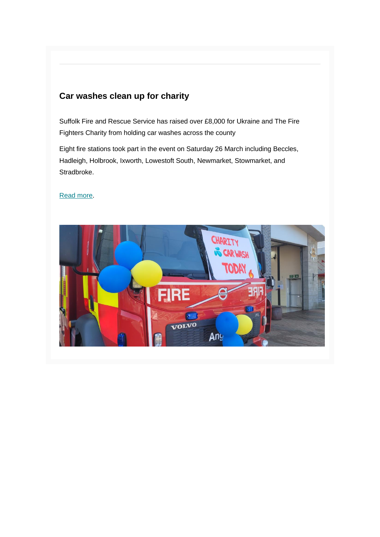## **Car washes clean up for charity**

Suffolk Fire and Rescue Service has raised over £8,000 for Ukraine and The Fire Fighters Charity from holding car washes across the county

Eight fire stations took part in the event on Saturday 26 March including Beccles, Hadleigh, Holbrook, Ixworth, Lowestoft South, Newmarket, Stowmarket, and Stradbroke.

#### [Read more.](https://suffolk.us15.list-manage.com/track/click?u=6a4b611d774833befc266f91b&id=382fe2b425&e=6f11f42378)